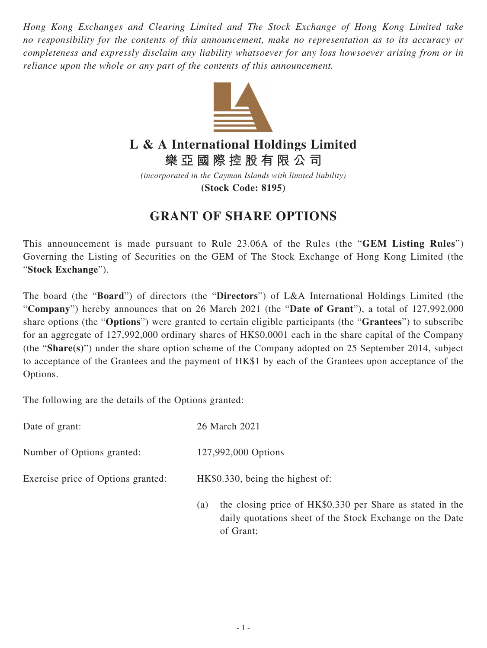*Hong Kong Exchanges and Clearing Limited and The Stock Exchange of Hong Kong Limited take no responsibility for the contents of this announcement, make no representation as to its accuracy or completeness and expressly disclaim any liability whatsoever for any loss howsoever arising from or in reliance upon the whole or any part of the contents of this announcement.*



## **L & A International Holdings Limited**

**樂亞國際控股有限公司**

*(incorporated in the Cayman Islands with limited liability)* **(Stock Code: 8195)**

## **GRANT OF SHARE OPTIONS**

This announcement is made pursuant to Rule 23.06A of the Rules (the "**GEM Listing Rules**") Governing the Listing of Securities on the GEM of The Stock Exchange of Hong Kong Limited (the "**Stock Exchange**").

The board (the "**Board**") of directors (the "**Directors**") of L&A International Holdings Limited (the "**Company**") hereby announces that on 26 March 2021 (the "**Date of Grant**"), a total of 127,992,000 share options (the "**Options**") were granted to certain eligible participants (the "**Grantees**") to subscribe for an aggregate of 127,992,000 ordinary shares of HK\$0.0001 each in the share capital of the Company (the "**Share(s)**") under the share option scheme of the Company adopted on 25 September 2014, subject to acceptance of the Grantees and the payment of HK\$1 by each of the Grantees upon acceptance of the Options.

The following are the details of the Options granted:

| Date of grant:                     | 26 March 2021                                                                                                                |
|------------------------------------|------------------------------------------------------------------------------------------------------------------------------|
| Number of Options granted:         | 127,992,000 Options                                                                                                          |
| Exercise price of Options granted: | HK\$0.330, being the highest of:                                                                                             |
|                                    | the closing price of HK\$0.330 per Share as stated in the<br>(a)<br>daily quotations sheet of the Stock Exchange on the Date |

of Grant;